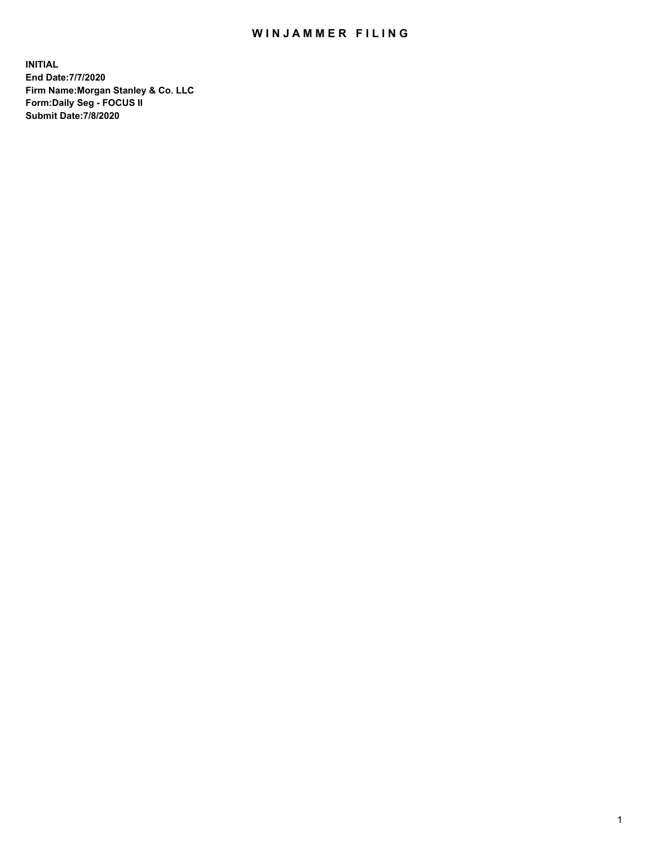## WIN JAMMER FILING

**INITIAL End Date:7/7/2020 Firm Name:Morgan Stanley & Co. LLC Form:Daily Seg - FOCUS II Submit Date:7/8/2020**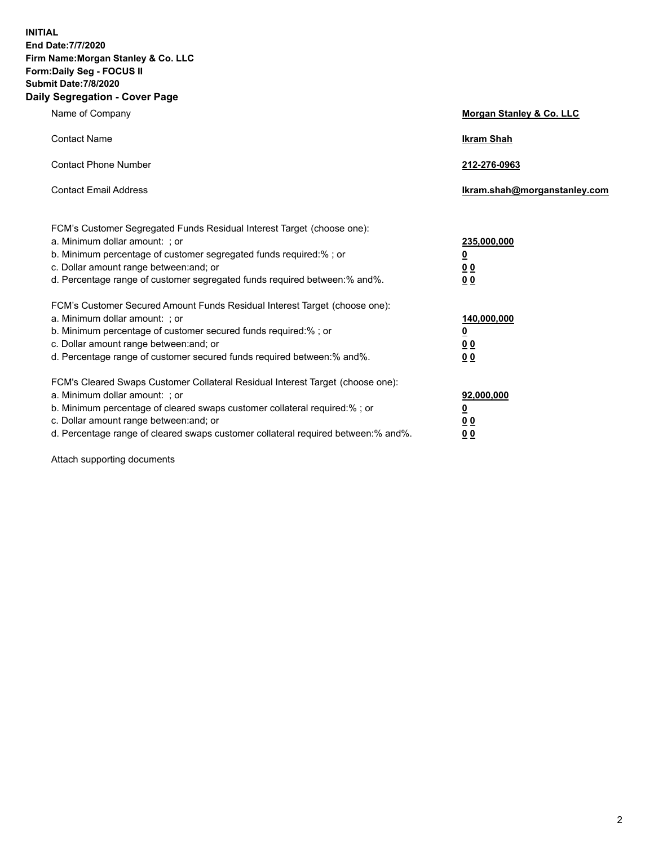**INITIAL End Date:7/7/2020 Firm Name:Morgan Stanley & Co. LLC Form:Daily Seg - FOCUS II Submit Date:7/8/2020 Daily Segregation - Cover Page**

| Name of Company                                                                                                                                                                                                                                                                                                                | Morgan Stanley & Co. LLC                                    |
|--------------------------------------------------------------------------------------------------------------------------------------------------------------------------------------------------------------------------------------------------------------------------------------------------------------------------------|-------------------------------------------------------------|
| <b>Contact Name</b>                                                                                                                                                                                                                                                                                                            | <b>Ikram Shah</b>                                           |
| <b>Contact Phone Number</b>                                                                                                                                                                                                                                                                                                    | 212-276-0963                                                |
| <b>Contact Email Address</b>                                                                                                                                                                                                                                                                                                   | Ikram.shah@morganstanley.com                                |
| FCM's Customer Segregated Funds Residual Interest Target (choose one):<br>a. Minimum dollar amount: ; or<br>b. Minimum percentage of customer segregated funds required:% ; or<br>c. Dollar amount range between: and; or<br>d. Percentage range of customer segregated funds required between:% and%.                         | 235,000,000<br><u>0</u><br>0 <sup>0</sup><br>00             |
| FCM's Customer Secured Amount Funds Residual Interest Target (choose one):<br>a. Minimum dollar amount: ; or<br>b. Minimum percentage of customer secured funds required:% ; or<br>c. Dollar amount range between: and; or<br>d. Percentage range of customer secured funds required between:% and%.                           | 140,000,000<br><u>0</u><br>0 <sub>0</sub><br>0 <sub>0</sub> |
| FCM's Cleared Swaps Customer Collateral Residual Interest Target (choose one):<br>a. Minimum dollar amount: ; or<br>b. Minimum percentage of cleared swaps customer collateral required:% ; or<br>c. Dollar amount range between: and; or<br>d. Percentage range of cleared swaps customer collateral required between:% and%. | 92,000,000<br><u>0</u><br>0 Q<br>0 <sub>0</sub>             |

Attach supporting documents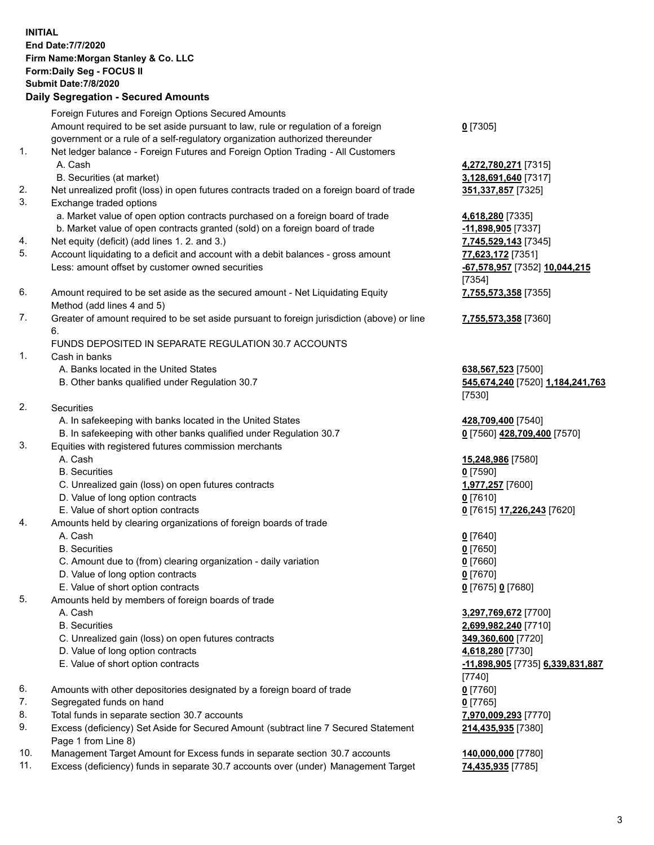|     | <b>INITIAL</b><br><b>End Date:7/7/2020</b><br>Firm Name: Morgan Stanley & Co. LLC<br>Form: Daily Seg - FOCUS II<br><b>Submit Date: 7/8/2020</b><br><b>Daily Segregation - Secured Amounts</b> |                                                   |
|-----|-----------------------------------------------------------------------------------------------------------------------------------------------------------------------------------------------|---------------------------------------------------|
|     | Foreign Futures and Foreign Options Secured Amounts                                                                                                                                           |                                                   |
|     | Amount required to be set aside pursuant to law, rule or regulation of a foreign                                                                                                              | $0$ [7305]                                        |
|     | government or a rule of a self-regulatory organization authorized thereunder                                                                                                                  |                                                   |
| 1.  | Net ledger balance - Foreign Futures and Foreign Option Trading - All Customers                                                                                                               |                                                   |
|     | A. Cash                                                                                                                                                                                       | 4,272,780,271 [7315]                              |
|     | B. Securities (at market)                                                                                                                                                                     | 3,128,691,640 [7317]                              |
| 2.  | Net unrealized profit (loss) in open futures contracts traded on a foreign board of trade                                                                                                     | 351, 337, 857 [7325]                              |
| 3.  | Exchange traded options                                                                                                                                                                       |                                                   |
|     | a. Market value of open option contracts purchased on a foreign board of trade                                                                                                                | 4,618,280 [7335]                                  |
| 4.  | b. Market value of open contracts granted (sold) on a foreign board of trade<br>Net equity (deficit) (add lines 1.2. and 3.)                                                                  | -11,898,905 [7337]<br>7,745,529,143 [7345]        |
| 5.  | Account liquidating to a deficit and account with a debit balances - gross amount                                                                                                             | 77,623,172 [7351]                                 |
|     | Less: amount offset by customer owned securities                                                                                                                                              | -67,578,957 [7352] 10,044,215                     |
|     |                                                                                                                                                                                               | [7354]                                            |
| 6.  | Amount required to be set aside as the secured amount - Net Liquidating Equity                                                                                                                | 7,755,573,358 [7355]                              |
|     | Method (add lines 4 and 5)                                                                                                                                                                    |                                                   |
| 7.  | Greater of amount required to be set aside pursuant to foreign jurisdiction (above) or line                                                                                                   | 7,755,573,358 [7360]                              |
|     | 6.                                                                                                                                                                                            |                                                   |
|     | FUNDS DEPOSITED IN SEPARATE REGULATION 30.7 ACCOUNTS                                                                                                                                          |                                                   |
| 1.  | Cash in banks                                                                                                                                                                                 |                                                   |
|     | A. Banks located in the United States                                                                                                                                                         | 638,567,523 [7500]                                |
|     | B. Other banks qualified under Regulation 30.7                                                                                                                                                | 545,674,240 [7520] 1,184,241,763                  |
| 2.  |                                                                                                                                                                                               | [7530]                                            |
|     | Securities<br>A. In safekeeping with banks located in the United States                                                                                                                       |                                                   |
|     | B. In safekeeping with other banks qualified under Regulation 30.7                                                                                                                            | 428,709,400 [7540]<br>0 [7560] 428,709,400 [7570] |
| 3.  | Equities with registered futures commission merchants                                                                                                                                         |                                                   |
|     | A. Cash                                                                                                                                                                                       | 15,248,986 [7580]                                 |
|     | <b>B.</b> Securities                                                                                                                                                                          | $0$ [7590]                                        |
|     | C. Unrealized gain (loss) on open futures contracts                                                                                                                                           | 1,977,257 [7600]                                  |
|     | D. Value of long option contracts                                                                                                                                                             | $0$ [7610]                                        |
|     | E. Value of short option contracts                                                                                                                                                            | 0 [7615] 17,226,243 [7620]                        |
| 4.  | Amounts held by clearing organizations of foreign boards of trade                                                                                                                             |                                                   |
|     | A. Cash                                                                                                                                                                                       | $0$ [7640]                                        |
|     | <b>B.</b> Securities                                                                                                                                                                          | $0$ [7650]                                        |
|     | C. Amount due to (from) clearing organization - daily variation                                                                                                                               | $0$ [7660]                                        |
|     | D. Value of long option contracts                                                                                                                                                             | $0$ [7670]                                        |
|     | E. Value of short option contracts                                                                                                                                                            | 0 [7675] 0 [7680]                                 |
| 5.  | Amounts held by members of foreign boards of trade<br>A. Cash                                                                                                                                 |                                                   |
|     | <b>B.</b> Securities                                                                                                                                                                          | 3,297,769,672 [7700]<br>2,699,982,240 [7710]      |
|     | C. Unrealized gain (loss) on open futures contracts                                                                                                                                           | 349,360,600 [7720]                                |
|     | D. Value of long option contracts                                                                                                                                                             | 4,618,280 [7730]                                  |
|     | E. Value of short option contracts                                                                                                                                                            | -11,898,905 [7735] 6,339,831,887                  |
|     |                                                                                                                                                                                               | $[7740]$                                          |
| 6.  | Amounts with other depositories designated by a foreign board of trade                                                                                                                        | $0$ [7760]                                        |
| 7.  | Segregated funds on hand                                                                                                                                                                      | $0$ [7765]                                        |
| 8.  | Total funds in separate section 30.7 accounts                                                                                                                                                 | 7,970,009,293 [7770]                              |
| 9.  | Excess (deficiency) Set Aside for Secured Amount (subtract line 7 Secured Statement                                                                                                           | 214,435,935 [7380]                                |
|     | Page 1 from Line 8)                                                                                                                                                                           |                                                   |
| 10. | Management Target Amount for Excess funds in separate section 30.7 accounts                                                                                                                   | 140,000,000 [7780]                                |

11. Excess (deficiency) funds in separate 30.7 accounts over (under) Management Target **74,435,935** [7785]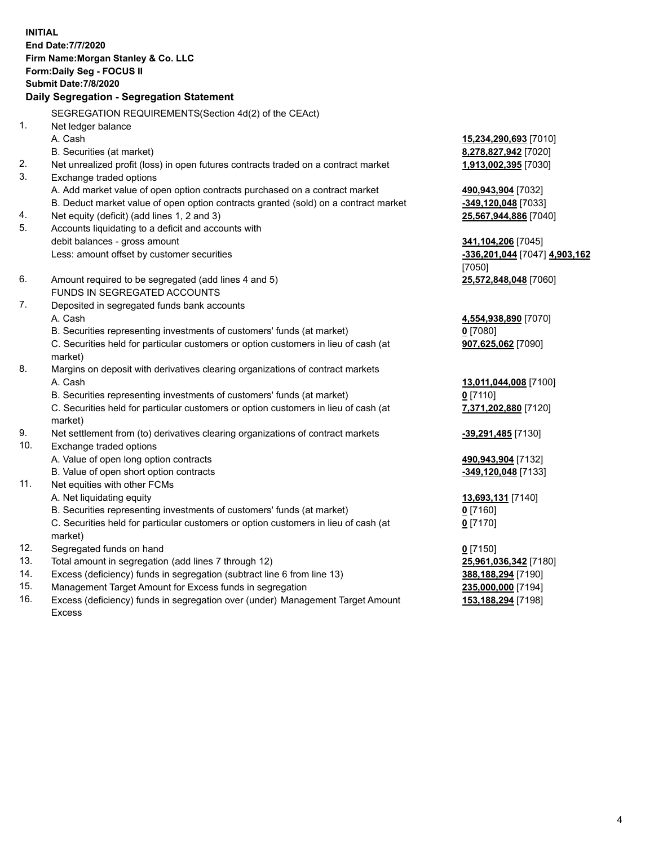**INITIAL End Date:7/7/2020 Firm Name:Morgan Stanley & Co. LLC Form:Daily Seg - FOCUS II Submit Date:7/8/2020 Daily Segregation - Segregation Statement** SEGREGATION REQUIREMENTS(Section 4d(2) of the CEAct) 1. Net ledger balance A. Cash **15,234,290,693** [7010] B. Securities (at market) **8,278,827,942** [7020] 2. Net unrealized profit (loss) in open futures contracts traded on a contract market **1,913,002,395** [7030] 3. Exchange traded options A. Add market value of open option contracts purchased on a contract market **490,943,904** [7032] B. Deduct market value of open option contracts granted (sold) on a contract market **-349,120,048** [7033] 4. Net equity (deficit) (add lines 1, 2 and 3) **25,567,944,886** [7040] 5. Accounts liquidating to a deficit and accounts with debit balances - gross amount **341,104,206** [7045] Less: amount offset by customer securities **-336,201,044** [7047] **4,903,162** [7050] 6. Amount required to be segregated (add lines 4 and 5) **25,572,848,048** [7060] FUNDS IN SEGREGATED ACCOUNTS 7. Deposited in segregated funds bank accounts A. Cash **4,554,938,890** [7070] B. Securities representing investments of customers' funds (at market) **0** [7080] C. Securities held for particular customers or option customers in lieu of cash (at market) **907,625,062** [7090] 8. Margins on deposit with derivatives clearing organizations of contract markets A. Cash **13,011,044,008** [7100] B. Securities representing investments of customers' funds (at market) **0** [7110] C. Securities held for particular customers or option customers in lieu of cash (at market) **7,371,202,880** [7120] 9. Net settlement from (to) derivatives clearing organizations of contract markets **-39,291,485** [7130] 10. Exchange traded options A. Value of open long option contracts **490,943,904** [7132] B. Value of open short option contracts **-349,120,048** [7133] 11. Net equities with other FCMs A. Net liquidating equity **13,693,131** [7140] B. Securities representing investments of customers' funds (at market) **0** [7160] C. Securities held for particular customers or option customers in lieu of cash (at market) **0** [7170] 12. Segregated funds on hand **0** [7150] 13. Total amount in segregation (add lines 7 through 12) **25,961,036,342** [7180] 14. Excess (deficiency) funds in segregation (subtract line 6 from line 13) **388,188,294** [7190] 15. Management Target Amount for Excess funds in segregation **235,000,000** [7194]

16. Excess (deficiency) funds in segregation over (under) Management Target Amount Excess

**153,188,294** [7198]